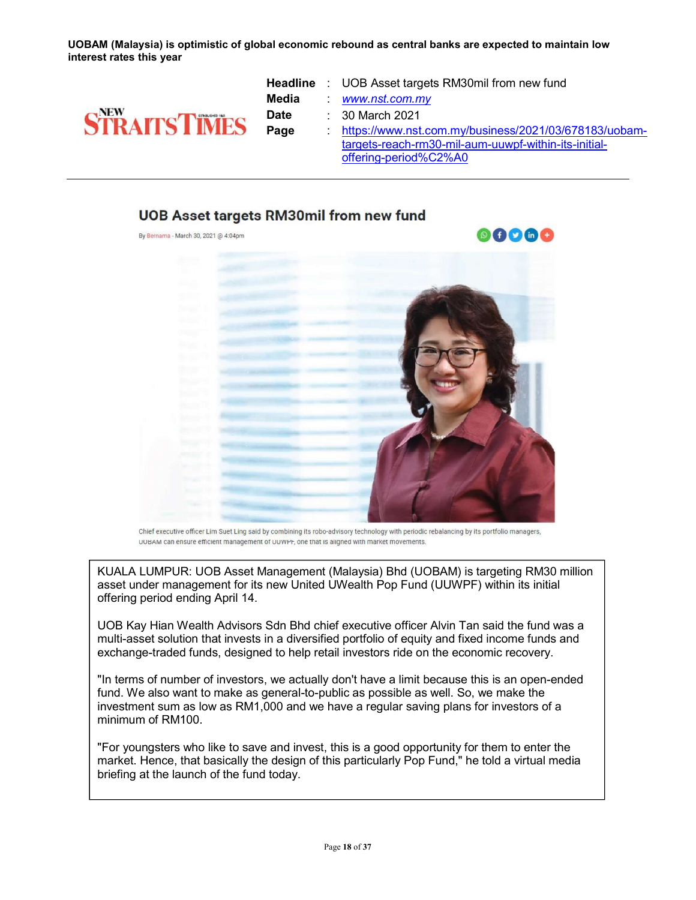UOBAM (Malaysia) is optimistic of global economic rebound as central banks are expected to maintain low interest rates this year



- Headline : UOB Asset targets RM30mil from new fund Media : www.nst.com.my **Date** : 30 March 2021
- Page https://www.nst.com.my/business/2021/03/678183/uobamtargets-reach-rm30-mil-aum-uuwpf-within-its-initialoffering-period%C2%A0

## UOB Asset targets RM30mil from new fund

By Bernama - March 30, 2021 @ 4:04pm





Chief executive officer Lim Suet Ling said by combining its robo-advisory technology with periodic rebalancing by its portfolio managers, UOBAM can ensure efficient management of UUWPF, one that is aligned with market movements.

KUALA LUMPUR: UOB Asset Management (Malaysia) Bhd (UOBAM) is targeting RM30 million asset under management for its new United UWealth Pop Fund (UUWPF) within its initial offering period ending April 14.

UOB Kay Hian Wealth Advisors Sdn Bhd chief executive officer Alvin Tan said the fund was a multi-asset solution that invests in a diversified portfolio of equity and fixed income funds and exchange-traded funds, designed to help retail investors ride on the economic recovery.

"In terms of number of investors, we actually don't have a limit because this is an open-ended fund. We also want to make as general-to-public as possible as well. So, we make the investment sum as low as RM1,000 and we have a regular saving plans for investors of a minimum of RM100.

"For youngsters who like to save and invest, this is a good opportunity for them to enter the market. Hence, that basically the design of this particularly Pop Fund," he told a virtual media briefing at the launch of the fund today.